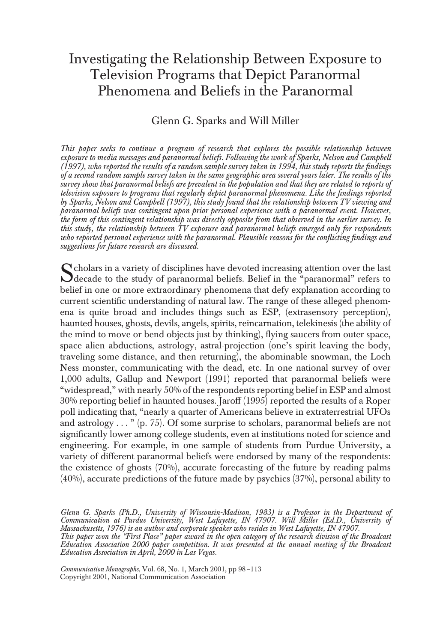# Investigating the Relationship Between Exposure to Television Programs that Depict Paranormal Phenomena and Beliefs in the Paranormal

# Glenn G. Sparks and Will Miller

*This paper seeks to continue a program of research that explores the possible relationship between exposure to media messages and paranormal beliefs. Following the work of Sparks, Nelson and Campbell (1997), who reported the results of a random sample survey taken in 1994, this study reports the findings of a second random sample survey taken in the same geographic area several years later. The results of the survey show that paranormal beliefs are prevalent in the population and that they are related to reports of television exposure to programs that regularly depict paranormal phenomena. Like the findings reported by Sparks, Nelson and Campbell (1997), this study found that the relationship between TV viewing and paranormal beliefs was contingent upon prior personal experience with a paranormal event. However, the form of this contingent relationship was directly opposite from that observed in the earlier survey. In this study, the relationship between TV exposure and paranormal beliefs emerged only for respondents who reported personal experience with the paranormal. Plausible reasons for the conflicting findings and suggestions for future research are discussed.*

Scholars in a variety of disciplines have devoted increasing attention over the last<br>decade to the study of paranormal beliefs. Belief in the "paranormal" refers to belief in one or more extraordinary phenomena that defy explanation according to current scientific understanding of natural law. The range of these alleged phenomena is quite broad and includes things such as ESP, (extrasensory perception), haunted houses, ghosts, devils, angels, spirits, reincarnation, telekinesis (the ability of the mind to move or bend objects just by thinking), flying saucers from outer space, space alien abductions, astrology, astral-projection (one's spirit leaving the body, traveling some distance, and then returning), the abominable snowman, the Loch Ness monster, communicating with the dead, etc. In one national survey of over 1,000 adults, Gallup and Newport (1991) reported that paranormal beliefs were "widespread," with nearly 50% of the respondents reporting belief in ESP and almost 30% reporting belief in haunted houses. Jaroff (1995) reported the results of a Roper poll indicating that, "nearly a quarter of Americans believe in extraterrestrial UFOs and astrology  $\ldots$  " (p. 75). Of some surprise to scholars, paranormal beliefs are not significantly lower among college students, even at institutions noted for science and engineering. For example, in one sample of students from Purdue University, a variety of different paranormal beliefs were endorsed by many of the respondents: the existence of ghosts (70%), accurate forecasting of the future by reading palms (40%), accurate predictions of the future made by psychics (37%), personal ability to

*Glenn G. Sparks (Ph.D., University of Wisconsin-Madison, 1983) is a Professor in the Department of Communication at Purdue University, West Lafayette, IN 47907. Will Miller (Ed.D., University of Massachusetts, 1976) is an author and corporate speaker who resides in West Lafayette, IN 47907. This paper won the "First Place" paper award in the open category of the research division of the Broadcast Education Association 2000 paper competition. It was presented at the annual meeting of the Broadcast Education Association in April, 2000 in Las Vegas.*

*Communication Monographs,* Vol. 68, No. 1, March 2001, pp 98–113 Copyright 2001, National Communication Association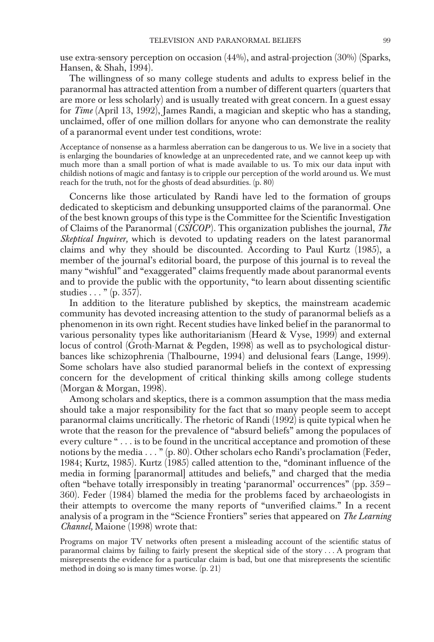use extra-sensory perception on occasion (44%), and astral-projection (30%) (Sparks, Hansen, & Shah, 1994).

The willingness of so many college students and adults to express belief in the paranormal has attracted attention from a number of different quarters (quarters that are more or less scholarly) and is usually treated with great concern. In a guest essay for *Time* (April 13, 1992), James Randi, a magician and skeptic who has a standing, unclaimed, offer of one million dollars for anyone who can demonstrate the reality of a paranormal event under test conditions, wrote:

Acceptance of nonsense as a harmless aberration can be dangerous to us. We live in a society that is enlarging the boundaries of knowledge at an unprecedented rate, and we cannot keep up with much more than a small portion of what is made available to us. To mix our data input with childish notions of magic and fantasy is to cripple our perception of the world around us. We must reach for the truth, not for the ghosts of dead absurdities. (p. 80)

Concerns like those articulated by Randi have led to the formation of groups dedicated to skepticism and debunking unsupported claims of the paranormal. One of the best known groups of this type is the Committee for the Scientific Investigation of Claims of the Paranormal (*CSICOP* ). This organization publishes the journal, *The Skeptical Inquirer,* which is devoted to updating readers on the latest paranormal claims and why they should be discounted. According to Paul Kurtz (1985), a member of the journal's editorial board, the purpose of this journal is to reveal the many "wishful" and "exaggerated" claims frequently made about paranormal events and to provide the public with the opportunity, "to learn about dissenting scientific studies . . . " (p. 357).

In addition to the literature published by skeptics, the mainstream academic community has devoted increasing attention to the study of paranormal beliefs as a phenomenon in its own right. Recent studies have linked belief in the paranormal to various personality types like authoritarianism (Heard & Vyse, 1999) and external locus of control (Groth-Marnat & Pegden, 1998) as well as to psychological disturbances like schizophrenia (Thalbourne, 1994) and delusional fears (Lange, 1999). Some scholars have also studied paranormal beliefs in the context of expressing concern for the development of critical thinking skills among college students (Morgan & Morgan, 1998).

Among scholars and skeptics, there is a common assumption that the mass media should take a major responsibility for the fact that so many people seem to accept paranormal claims uncritically. The rhetoric of Randi (1992) is quite typical when he wrote that the reason for the prevalence of "absurd beliefs" among the populaces of every culture "... is to be found in the uncritical acceptance and promotion of these notions by the media . . . " (p. 80). Other scholars echo Randi's proclamation (Feder, 1984; Kurtz, 1985). Kurtz (1985) called attention to the, "dominant influence of the media in forming [paranormal] attitudes and beliefs," and charged that the media often "behave totally irresponsibly in treating 'paranormal' occurrences" (pp. 359– 360). Feder (1984) blamed the media for the problems faced by archaeologists in their attempts to overcome the many reports of "unverified claims." In a recent analysis of a program in the "Science Frontiers" series that appeared on *The Learning Channel,* Maione (1998) wrote that:

Programs on major TV networks often present a misleading account of the scientific status of paranormal claims by failing to fairly present the skeptical side of the story...A program that misrepresents the evidence for a particular claim is bad, but one that misrepresents the scientific method in doing so is many times worse. (p. 21)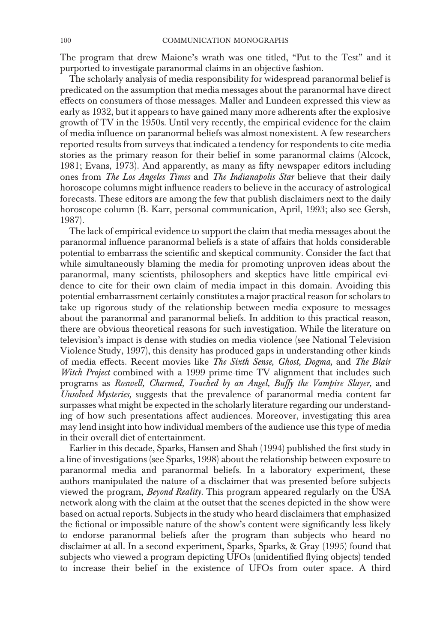The program that drew Maione's wrath was one titled, "Put to the Test" and it purported to investigate paranormal claims in an objective fashion.

The scholarly analysis of media responsibility for widespread paranormal belief is predicated on the assumption that media messages about the paranormal have direct effects on consumers of those messages. Maller and Lundeen expressed this view as early as 1932, but it appears to have gained many more adherents after the explosive growth of TV in the 1950s. Until very recently, the empirical evidence for the claim of media influence on paranormal beliefs was almost nonexistent. A few researchers reported results from surveys that indicated a tendency for respondents to cite media stories as the primary reason for their belief in some paranormal claims (Alcock, 1981; Evans, 1973). And apparently, as many as fifty newspaper editors including ones from *The Los Angeles Times* and *The Indianapolis Star* believe that their daily horoscope columns might influence readers to believe in the accuracy of astrological forecasts. These editors are among the few that publish disclaimers next to the daily horoscope column (B. Karr, personal communication, April, 1993; also see Gersh, 1987).

The lack of empirical evidence to support the claim that media messages about the paranormal influence paranormal beliefs is a state of affairs that holds considerable potential to embarrass the scientific and skeptical community. Consider the fact that while simultaneously blaming the media for promoting unproven ideas about the paranormal, many scientists, philosophers and skeptics have little empirical evidence to cite for their own claim of media impact in this domain. Avoiding this potential embarrassment certainly constitutes a major practical reason for scholars to take up rigorous study of the relationship between media exposure to messages about the paranormal and paranormal beliefs. In addition to this practical reason, there are obvious theoretical reasons for such investigation. While the literature on television's impact is dense with studies on media violence (see National Television Violence Study, 1997), this density has produced gaps in understanding other kinds of media effects. Recent movies like *The Sixth Sense, Ghost, Dogma,* and *The Blair Witch Project* combined with a 1999 prime-time TV alignment that includes such programs as *Roswell, Charmed, Touched by an Angel, Buffy the Vampire Slayer,* and *Unsolved Mysteries,* suggests that the prevalence of paranormal media content far surpasses what might be expected in the scholarly literature regarding our understanding of how such presentations affect audiences. Moreover, investigating this area may lend insight into how individual members of the audience use this type of media in their overall diet of entertainment.

Earlier in this decade, Sparks, Hansen and Shah (1994) published the first study in a line of investigations (see Sparks, 1998) about the relationship between exposure to paranormal media and paranormal beliefs. In a laboratory experiment, these authors manipulated the nature of a disclaimer that was presented before subjects viewed the program, *Beyond Reality.* This program appeared regularly on the USA network along with the claim at the outset that the scenes depicted in the show were based on actual reports. Subjects in the study who heard disclaimers that emphasized the fictional or impossible nature of the show's content were significantly less likely to endorse paranormal beliefs after the program than subjects who heard no disclaimer at all. In a second experiment, Sparks, Sparks, & Gray (1995) found that subjects who viewed a program depicting UFOs (unidentified flying objects) tended to increase their belief in the existence of UFOs from outer space. A third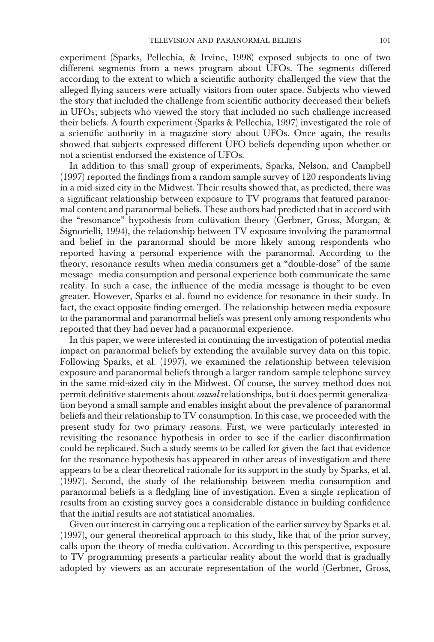experiment (Sparks, Pellechia, & Irvine, 1998) exposed subjects to one of two different segments from a news program about UFOs. The segments differed according to the extent to which a scientific authority challenged the view that the alleged flying saucers were actually visitors from outer space. Subjects who viewed the story that included the challenge from scientific authority decreased their beliefs in UFOs; subjects who viewed the story that included no such challenge increased their beliefs. A fourth experiment (Sparks & Pellechia, 1997) investigated the role of a scientific authority in a magazine story about UFOs. Once again, the results showed that subjects expressed different UFO beliefs depending upon whether or not a scientist endorsed the existence of UFOs.

In addition to this small group of experiments, Sparks, Nelson, and Campbell (1997) reported the findings from a random sample survey of 120 respondents living in a mid-sized city in the Midwest. Their results showed that, as predicted, there was a significant relationship between exposure to TV programs that featured paranormal content and paranormal beliefs. These authors had predicted that in accord with the "resonance" hypothesis from cultivation theory (Gerbner, Gross, Morgan, & Signorielli, 1994), the relationship between TV exposure involving the paranormal and belief in the paranormal should be more likely among respondents who reported having a personal experience with the paranormal. According to the theory, resonance results when media consumers get a "double-dose" of the same message—media consumption and personal experience both communicate the same reality. In such a case, the influence of the media message is thought to be even greater. However, Sparks et al. found no evidence for resonance in their study. In fact, the exact opposite finding emerged. The relationship between media exposure to the paranormal and paranormal beliefs was present only among respondents who reported that they had never had a paranormal experience.

In this paper, we were interested in continuing the investigation of potential media impact on paranormal beliefs by extending the available survey data on this topic. Following Sparks, et al. (1997), we examined the relationship between television exposure and paranormal beliefs through a larger random-sample telephone survey in the same mid-sized city in the Midwest. Of course, the survey method does not permit definitive statements about *causal* relationships, but it does permit generalization beyond a small sample and enables insight about the prevalence of paranormal beliefs and their relationship to TV consumption. In this case, we proceeded with the present study for two primary reasons. First, we were particularly interested in revisiting the resonance hypothesis in order to see if the earlier disconfirmation could be replicated. Such a study seems to be called for given the fact that evidence for the resonance hypothesis has appeared in other areas of investigation and there appears to be a clear theoretical rationale for its support in the study by Sparks, et al. (1997). Second, the study of the relationship between media consumption and paranormal beliefs is a fledgling line of investigation. Even a single replication of results from an existing survey goes a considerable distance in building confidence that the initial results are not statistical anomalies.

Given our interest in carrying out a replication of the earlier survey by Sparks et al. (1997), our general theoretical approach to this study, like that of the prior survey, calls upon the theory of media cultivation. According to this perspective, exposure to TV programming presents a particular reality about the world that is gradually adopted by viewers as an accurate representation of the world (Gerbner, Gross,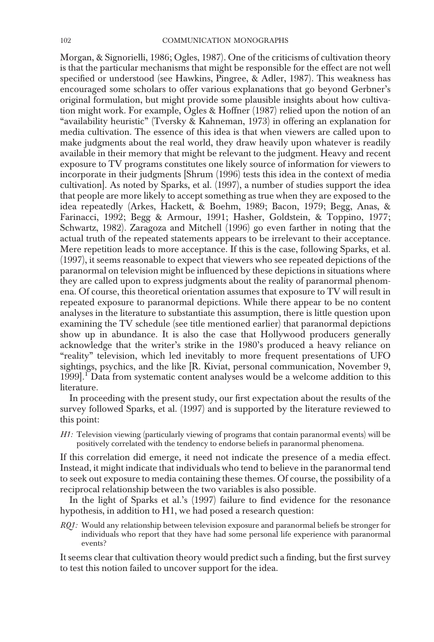Morgan, & Signorielli, 1986; Ogles, 1987). One of the criticisms of cultivation theory is that the particular mechanisms that might be responsible for the effect are not well specified or understood (see Hawkins, Pingree, & Adler, 1987). This weakness has encouraged some scholars to offer various explanations that go beyond Gerbner's original formulation, but might provide some plausible insights about how cultivation might work. For example, Ogles & Hoffner (1987) relied upon the notion of an "availability heuristic" (Tversky & Kahneman, 1973) in offering an explanation for media cultivation. The essence of this idea is that when viewers are called upon to make judgments about the real world, they draw heavily upon whatever is readily available in their memory that might be relevant to the judgment. Heavy and recent exposure to TV programs constitutes one likely source of information for viewers to incorporate in their judgments [Shrum (1996) tests this idea in the context of media cultivation]. As noted by Sparks, et al. (1997), a number of studies support the idea that people are more likely to accept something as true when they are exposed to the idea repeatedly (Arkes, Hackett, & Boehm, 1989; Bacon, 1979; Begg, Anas, & Farinacci, 1992; Begg & Armour, 1991; Hasher, Goldstein, & Toppino, 1977; Schwartz, 1982). Zaragoza and Mitchell (1996) go even farther in noting that the actual truth of the repeated statements appears to be irrelevant to their acceptance. Mere repetition leads to more acceptance. If this is the case, following Sparks, et al. (1997), it seems reasonable to expect that viewers who see repeated depictions of the paranormal on television might be influenced by these depictions in situations where they are called upon to express judgments about the reality of paranormal phenomena. Of course, this theoretical orientation assumes that exposure to TV will result in repeated exposure to paranormal depictions. While there appear to be no content analyses in the literature to substantiate this assumption, there is little question upon examining the TV schedule (see title mentioned earlier) that paranormal depictions show up in abundance. It is also the case that Hollywood producers generally acknowledge that the writer's strike in the 1980's produced a heavy reliance on "reality" television, which led inevitably to more frequent presentations of UFO sightings, psychics, and the like [R. Kiviat, personal communication, November 9,  $1999$ <sup>1</sup>. Data from systematic content analyses would be a welcome addition to this literature.

In proceeding with the present study, our first expectation about the results of the survey followed Sparks, et al. (1997) and is supported by the literature reviewed to this point:

*H1*: Television viewing (particularly viewing of programs that contain paranormal events) will be positively correlated with the tendency to endorse beliefs in paranormal phenomena.

If this correlation did emerge, it need not indicate the presence of a media effect. Instead, it might indicate that individuals who tend to believe in the paranormal tend to seek out exposure to media containing these themes. Of course, the possibility of a reciprocal relationship between the two variables is also possible.

In the light of Sparks et al.'s (1997) failure to find evidence for the resonance hypothesis, in addition to H1, we had posed a research question:

*RQ1:* Would any relationship between television exposure and paranormal beliefs be stronger for individuals who report that they have had some personal life experience with paranormal events?

It seems clear that cultivation theory would predict such a finding, but the first survey to test this notion failed to uncover support for the idea.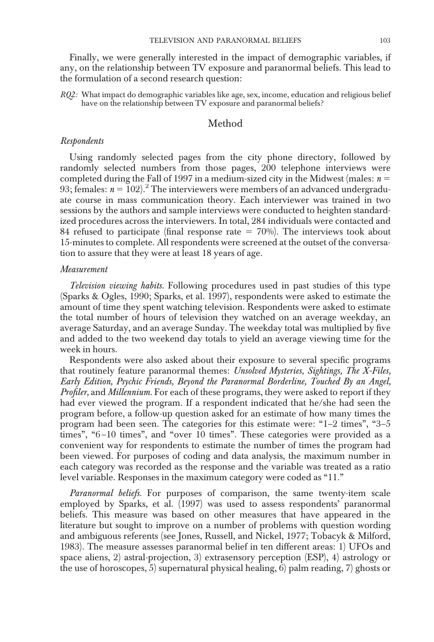Finally, we were generally interested in the impact of demographic variables, if any, on the relationship between TV exposure and paranormal beliefs. This lead to the formulation of a second research question:

*RQ2:* What impact do demographic variables like age, sex, income, education and religious belief have on the relationship between TV exposure and paranormal beliefs?

# Method

#### *Respondents*

Using randomly selected pages from the city phone directory, followed by randomly selected numbers from those pages, 200 telephone interviews were completed during the Fall of 1997 in a medium-sized city in the Midwest (males:  $n =$ 93; females:  $n = 102$ <sup>2</sup>. The interviewers were members of an advanced undergraduate course in mass communication theory. Each interviewer was trained in two sessions by the authors and sample interviews were conducted to heighten standardized procedures across the interviewers. In total, 284 individuals were contacted and 84 refused to participate (final response rate  $= 70\%$ ). The interviews took about 15-minutes to complete. All respondents were screened at the outset of the conversation to assure that they were at least 18 years of age.

#### *Measurement*

*Television viewing habits.* Following procedures used in past studies of this type (Sparks & Ogles, 1990; Sparks, et al. 1997), respondents were asked to estimate the amount of time they spent watching television. Respondents were asked to estimate the total number of hours of television they watched on an average weekday, an average Saturday, and an average Sunday. The weekday total was multiplied by five and added to the two weekend day totals to yield an average viewing time for the week in hours.

Respondents were also asked about their exposure to several specific programs that routinely feature paranormal themes: *Unsolved Mysteries, Sightings, The X-Files, Early Edition, Psychic Friends, Beyond the Paranormal Borderline, Touched By an Angel, Profiler,* and *Millennium.* For each of these programs, they were asked to report if they had ever viewed the program. If a respondent indicated that he/she had seen the program before, a follow-up question asked for an estimate of how many times the program had been seen. The categories for this estimate were: "1–2 times", "3–5 times", "6–10 times", and "over 10 times". These categories were provided as a convenient way for respondents to estimate the number of times the program had been viewed. For purposes of coding and data analysis, the maximum number in each category was recorded as the response and the variable was treated as a ratio level variable. Responses in the maximum category were coded as "11."

*Paranormal beliefs.* For purposes of comparison, the same twenty-item scale employed by Sparks, et al. (1997) was used to assess respondents' paranormal beliefs. This measure was based on other measures that have appeared in the literature but sought to improve on a number of problems with question wording and ambiguous referents (see Jones, Russell, and Nickel, 1977; Tobacyk & Milford, 1983). The measure assesses paranormal belief in ten different areas: 1) UFOs and space aliens, 2) astral-projection, 3) extrasensory perception (ESP), 4) astrology or the use of horoscopes, 5) supernatural physical healing, 6) palm reading, 7) ghosts or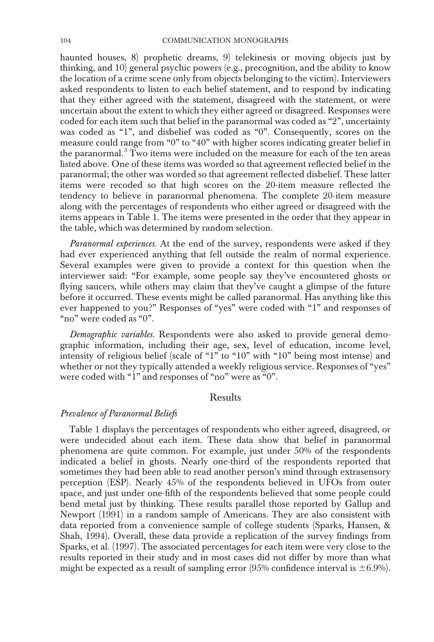haunted houses, 8) prophetic dreams, 9) telekinesis or moving objects just by thinking, and 10) general psychic powers (e.g., precognition, and the ability to know the location of a crime scene only from objects belonging to the victim). Interviewers asked respondents to listen to each belief statement, and to respond by indicating that they either agreed with the statement, disagreed with the statement, or were uncertain about the extent to which they either agreed or disagreed. Responses were coded for each item such that belief in the paranormal was coded as "2", uncertainty was coded as "1", and disbelief was coded as "0". Consequently, scores on the measure could range from "0" to "40" with higher scores indicating greater belief in the paranormal.<sup>3</sup> Two items were included on the measure for each of the ten areas listed above. One of these items was worded so that agreement reflected belief in the paranormal; the other was worded so that agreement reflected disbelief. These latter items were recoded so that high scores on the 20-item measure reflected the tendency to believe in paranormal phenomena. The complete 20-item measure along with the percentages of respondents who either agreed or disagreed with the items appears in Table 1. The items were presented in the order that they appear in the table, which was determined by random selection.

*Paranormal experiences.* At the end of the survey, respondents were asked if they had ever experienced anything that fell outside the realm of normal experience. Several examples were given to provide a context for this question when the interviewer said: "For example, some people say they've encountered ghosts or flying saucers, while others may claim that they've caught a glimpse of the future before it occurred. These events might be called paranormal. Has anything like this ever happened to you?" Responses of "yes" were coded with "1" and responses of "no" were coded as "0".

*Demographic variables.* Respondents were also asked to provide general demographic information, including their age, sex, level of education, income level, intensity of religious belief (scale of "1" to "10" with "10" being most intense) and whether or not they typically attended a weekly religious service. Responses of "yes" were coded with "1" and responses of "no" were as "0".

# Results

# *Prevalence of Paranormal Beliefs*

Table 1 displays the percentages of respondents who either agreed, disagreed, or were undecided about each item. These data show that belief in paranormal phenomena are quite common. For example, just under 50% of the respondents indicated a belief in ghosts. Nearly one-third of the respondents reported that sometimes they had been able to read another person's mind through extrasensory perception (ESP). Nearly 45% of the respondents believed in UFOs from outer space, and just under one-fifth of the respondents believed that some people could bend metal just by thinking. These results parallel those reported by Gallup and Newport (1991) in a random sample of Americans. They are also consistent with data reported from a convenience sample of college students (Sparks, Hansen, & Shah, 1994). Overall, these data provide a replication of the survey findings from Sparks, et al. (1997). The associated percentages for each item were very close to the results reported in their study and in most cases did not differ by more than what might be expected as a result of sampling error  $(95\%$  confidence interval is  $\pm 6.9\%$ ).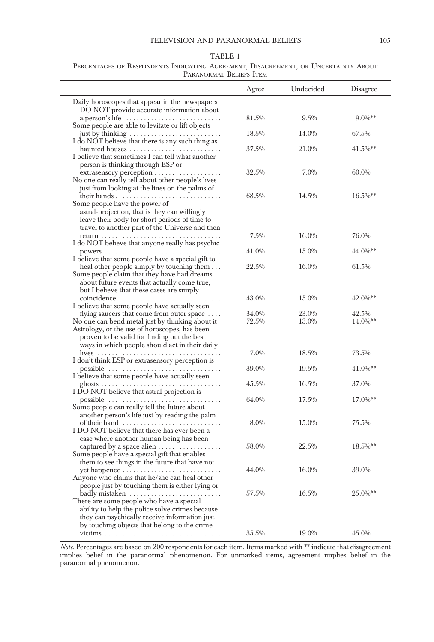#### TABLE 1

PERCENTAGES OF RESPONDENTS INDICATING AGREEMENT, DISAGREEMENT, OR UNCERTAINTY ABOUT PARANORMAL BELIEFS ITEM

|                                                                                                                                                                                                                   | Agree          | Undecided      | Disagree         |
|-------------------------------------------------------------------------------------------------------------------------------------------------------------------------------------------------------------------|----------------|----------------|------------------|
| Daily horoscopes that appear in the newspapers<br>DO NOT provide accurate information about                                                                                                                       |                |                |                  |
| a person's life $\dots\dots\dots\dots\dots\dots\dots\dots\dots\dots\dots$<br>Some people are able to levitate or lift objects                                                                                     | 81.5%          | $9.5\%$        | $9.0\%**$        |
| I do NOT believe that there is any such thing as                                                                                                                                                                  | 18.5%          | 14.0%          | 67.5%            |
| I believe that sometimes I can tell what another                                                                                                                                                                  | 37.5%          | 21.0%          | $41.5\%$ **      |
| person is thinking through ESP or<br>extrasensory perception<br>No one can really tell about other people's lives                                                                                                 | 32.5%          | $7.0\%$        | 60.0%            |
| just from looking at the lines on the palms of<br>their hands $\ldots \ldots \ldots \ldots \ldots \ldots \ldots \ldots \ldots$<br>Some people have the power of                                                   | 68.5%          | 14.5%          | $16.5\%$ **      |
| astral-projection, that is they can willingly<br>leave their body for short periods of time to<br>travel to another part of the Universe and then                                                                 |                |                |                  |
| I do NOT believe that anyone really has psychic                                                                                                                                                                   | $7.5\%$        | 16.0%          | 76.0%            |
| I believe that some people have a special gift to                                                                                                                                                                 | 41.0%          | 15.0%          | 44.0%**          |
| heal other people simply by touching them $\dots$<br>Some people claim that they have had dreams<br>about future events that actually come true,<br>but I believe that these cases are simply                     | 22.5%          | 16.0%          | 61.5%            |
| I believe that some people have actually seen                                                                                                                                                                     | 43.0%          | 15.0%          | 42.0%**          |
| flying saucers that come from outer space $\dots$<br>No one can bend metal just by thinking about it<br>Astrology, or the use of horoscopes, has been<br>proven to be valid for finding out the best              | 34.0%<br>72.5% | 23.0%<br>13.0% | 42.5%<br>14.0%** |
| ways in which people should act in their daily                                                                                                                                                                    | 7.0%           | 18.5%          | 73.5%            |
| I don't think ESP or extrasensory perception is<br>possible                                                                                                                                                       | 39.0%          | 19.5%          | $41.0\%**$       |
| I believe that some people have actually seen                                                                                                                                                                     | $45.5\%$       | 16.5%          | 37.0%            |
| I DO NOT believe that astral-projection is<br>possible<br>Some people can really tell the future about<br>another person's life just by reading the palm                                                          | 64.0%          | 17.5%          | $17.0\%**$       |
| of their hand<br>I DO NOT believe that there has ever been a<br>case where another human being has been                                                                                                           | 8.0%           | 15.0%          | 75.5%            |
| captured by a space alien $\dots\dots\dots\dots\dots$<br>Some people have a special gift that enables                                                                                                             | 58.0%          | 22.5%          | $18.5\%**$       |
| them to see things in the future that have not<br>Anyone who claims that he/she can heal other                                                                                                                    | 44.0%          | 16.0%          | 39.0%            |
| people just by touching them is either lying or<br>badly mistaken<br>There are some people who have a special<br>ability to help the police solve crimes because<br>they can psychically receive information just | 57.5%          | 16.5%          | $25.0\%**$       |
| by touching objects that belong to the crime                                                                                                                                                                      | 35.5%          | 19.0%          | 45.0%            |

*Note.* Percentages are based on 200 respondents for each item. Items marked with \*\* indicate that disagreement implies belief in the paranormal phenomenon. For unmarked items, agreement implies belief in the paranormal phenomenon.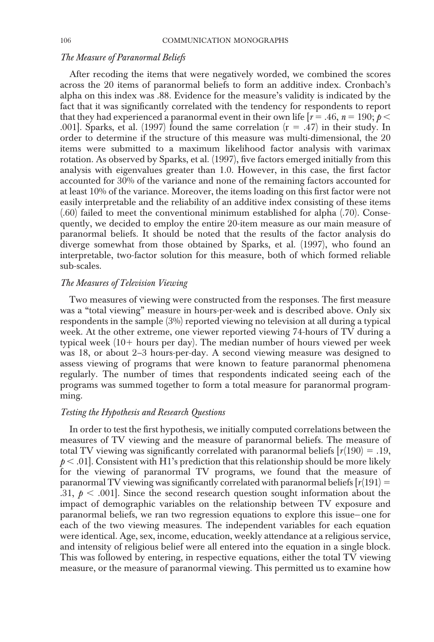#### *The Measure of Paranormal Beliefs*

After recoding the items that were negatively worded, we combined the scores across the 20 items of paranormal beliefs to form an additive index. Cronbach's alpha on this index was .88. Evidence for the measure's validity is indicated by the fact that it was significantly correlated with the tendency for respondents to report that they had experienced a paranormal event in their own life  $[r = .46, n = 190; p <$ .001]. Sparks, et al. (1997) found the same correlation  $(r = .47)$  in their study. In order to determine if the structure of this measure was multi-dimensional, the 20 items were submitted to a maximum likelihood factor analysis with varimax rotation. As observed by Sparks, et al. (1997), five factors emerged initially from this analysis with eigenvalues greater than 1.0. However, in this case, the first factor accounted for 30% of the variance and none of the remaining factors accounted for at least 10% of the variance. Moreover, the items loading on this first factor were not easily interpretable and the reliability of an additive index consisting of these items (.60) failed to meet the conventional minimum established for alpha (.70). Consequently, we decided to employ the entire 20-item measure as our main measure of paranormal beliefs. It should be noted that the results of the factor analysis do diverge somewhat from those obtained by Sparks, et al. (1997), who found an interpretable, two-factor solution for this measure, both of which formed reliable sub-scales.

#### *The Measures of Television Viewing*

Two measures of viewing were constructed from the responses. The first measure was a "total viewing" measure in hours-per-week and is described above. Only six respondents in the sample (3%) reported viewing no television at all during a typical week. At the other extreme, one viewer reported viewing 74-hours of TV during a typical week  $(10+$  hours per day). The median number of hours viewed per week was 18, or about 2–3 hours-per-day. A second viewing measure was designed to assess viewing of programs that were known to feature paranormal phenomena regularly. The number of times that respondents indicated seeing each of the programs was summed together to form a total measure for paranormal programming.

#### *Testing the Hypothesis and Research Questions*

In order to test the first hypothesis, we initially computed correlations between the measures of TV viewing and the measure of paranormal beliefs. The measure of total TV viewing was significantly correlated with paranormal beliefs  $\vert r(190) = .19$ ,  $p < .01$ ]. Consistent with H1's prediction that this relationship should be more likely for the viewing of paranormal TV programs, we found that the measure of paranormal TV viewing was significantly correlated with paranormal beliefs  $\vert r(191) \vert =$  $.31, p \lt 0.001$ . Since the second research question sought information about the impact of demographic variables on the relationship between TV exposure and paranormal beliefs, we ran two regression equations to explore this issue—one for each of the two viewing measures. The independent variables for each equation were identical. Age, sex, income, education, weekly attendance at a religious service, and intensity of religious belief were all entered into the equation in a single block. This was followed by entering, in respective equations, either the total TV viewing measure, or the measure of paranormal viewing. This permitted us to examine how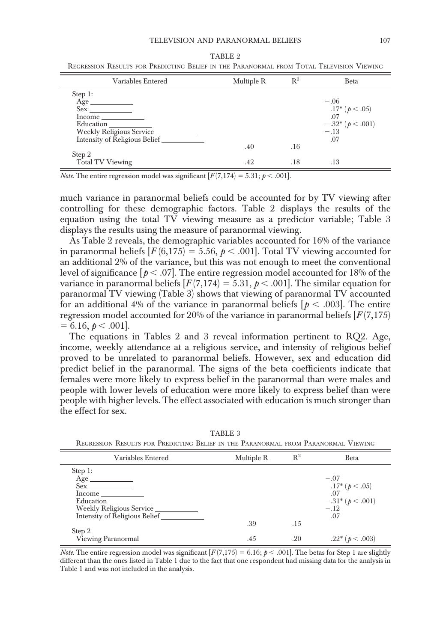| Variables Entered                                                                                          | Multiple R | $R^2$ | Beta                                                               |
|------------------------------------------------------------------------------------------------------------|------------|-------|--------------------------------------------------------------------|
| Step 1:<br>Age.<br>Sex<br>Income<br>Education<br>Weekly Religious Service<br>Intensity of Religious Belief | .40        | .16   | $-.06$<br>$.17*(p<.05)$<br>.07<br>$-.32*(p<.001)$<br>$-.13$<br>.07 |
| Step 2<br><b>Total TV Viewing</b>                                                                          | .42        | .18   | .13                                                                |

TABLE 2 REGRESSION RESULTS FOR PREDICTING BELIEF IN THE PARANORMAL FROM TOTAL TELEVISION VIEWING

*Note.* The entire regression model was significant  $[F(7,174) = 5.31; p < .001]$ .

much variance in paranormal beliefs could be accounted for by TV viewing after controlling for these demographic factors. Table 2 displays the results of the equation using the total TV viewing measure as a predictor variable; Table 3 displays the results using the measure of paranormal viewing.

As Table 2 reveals, the demographic variables accounted for 16% of the variance in paranormal beliefs  $[F(6,175) = 5.56, p < .001]$ . Total TV viewing accounted for an additional 2% of the variance, but this was not enough to meet the conventional level of significance  $\lbrack p < .07 \rbrack$ . The entire regression model accounted for 18% of the variance in paranormal beliefs  $[F(7,174) = 5.31, p < .001]$ . The similar equation for paranormal TV viewing (Table 3) shows that viewing of paranormal TV accounted for an additional 4% of the variance in paranormal beliefs  $p < .003$ . The entire regression model accounted for 20% of the variance in paranormal beliefs [*F* (7,175)  $= 6.16, p < .001$ .

The equations in Tables 2 and 3 reveal information pertinent to RQ2. Age, income, weekly attendance at a religious service, and intensity of religious belief proved to be unrelated to paranormal beliefs. However, sex and education did predict belief in the paranormal. The signs of the beta coefficients indicate that females were more likely to express belief in the paranormal than were males and people with lower levels of education were more likely to express belief than were people with higher levels. The effect associated with education is much stronger than the effect for sex.

| Variables Entered                                                                                           | Multiple R | $R^2$ | Beta                                                               |
|-------------------------------------------------------------------------------------------------------------|------------|-------|--------------------------------------------------------------------|
| Step 1:<br>Age<br>Sex.<br>Income<br>Education<br>Weekly Religious Service_<br>Intensity of Religious Belief |            |       | $-.07$<br>$.17*(p<.05)$<br>.07<br>$-.31*(p<.001)$<br>$-.12$<br>.07 |
| Step 2                                                                                                      | .39        | .15   |                                                                    |
| Viewing Paranormal                                                                                          | .45        | .20   | $.22*(p<.003)$                                                     |

TABLE 3 REGRESSION RESULTS FOR PREDICTING BELIEF IN THE PARANORMAL FROM PARANORMAL VIEWING

*Note.* The entire regression model was significant  $[F(7,175) = 6.16; p < .001]$ . The betas for Step 1 are slightly different than the ones listed in Table 1 due to the fact that one respondent had missing data for the analysis in Table 1 and was not included in the analysis.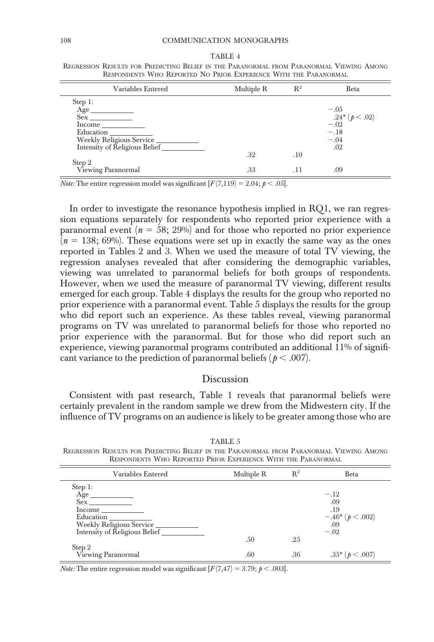| Variables Entered                                                             | Multiple R | $R^2$ | Beta                                                  |
|-------------------------------------------------------------------------------|------------|-------|-------------------------------------------------------|
|                                                                               |            |       |                                                       |
| Step 1:<br>$Age \_$<br>Sex<br>Income<br>Education<br>Weekly Religious Service |            |       | $-.05$<br>$.24*(p<.02)$<br>$-.02$<br>$-.18$<br>$-.04$ |
| Intensity of Religious Belief                                                 | .32        | .10   | .02                                                   |
| Step 2                                                                        |            |       |                                                       |
| Viewing Paranormal                                                            | .33        | . 11  | .09                                                   |

TABLE 4 REGRESSION RESULTS FOR PREDICTING BELIEF IN THE PARANORMAL FROM PARANORMAL VIEWING AMONG RESPONDENTS WHO REPORTED NO PRIOR EXPERIENCE WITH THE PARANORMAL

*Note:* The entire regression model was significant  $[F(7,119) = 2.04; p < .05]$ .

In order to investigate the resonance hypothesis implied in RQ1, we ran regression equations separately for respondents who reported prior experience with a paranormal event  $(n = 58; 29%)$  and for those who reported no prior experience  $(n = 138; 69\%)$ . These equations were set up in exactly the same way as the ones reported in Tables 2 and 3. When we used the measure of total TV viewing, the regression analyses revealed that after considering the demographic variables, viewing was unrelated to paranormal beliefs for both groups of respondents. However, when we used the measure of paranormal TV viewing, different results emerged for each group. Table 4 displays the results for the group who reported no prior experience with a paranormal event. Table 5 displays the results for the group who did report such an experience. As these tables reveal, viewing paranormal programs on TV was unrelated to paranormal beliefs for those who reported no prior experience with the paranormal. But for those who did report such an experience, viewing paranormal programs contributed an additional 11% of significant variance to the prediction of paranormal beliefs ( $p < .007$ ).

#### Discussion

Consistent with past research, Table 1 reveals that paranormal beliefs were certainly prevalent in the random sample we drew from the Midwestern city. If the influence of TV programs on an audience is likely to be greater among those who are

TABLE 5

REGRESSION RESULTS FOR PREDICTING BELIEF IN THE PARANORMAL FROM PARANORMAL VIEWING AMONG RESPONDENTS WHO REPORTED PRIOR EXPERIENCE WITH THE PARANORMAL

| Variables Entered                                                                                                       | Multiple R | $R^2$ | Beta                                                     |
|-------------------------------------------------------------------------------------------------------------------------|------------|-------|----------------------------------------------------------|
| Step 1:<br>Age $\_\_$<br><b>Sex</b><br>Income<br>Education<br>Weekly Religious Service<br>Intensity of Religious Belief |            |       | $-.12$<br>.09<br>.19<br>$-.46*(p-.002)$<br>.09<br>$-.02$ |
| Step 2                                                                                                                  | .50        | .25   |                                                          |
| Viewing Paranormal                                                                                                      | .60        | .36   | $.35*(p<.007)$                                           |

*Note:* The entire regression model was significant  $[F(7,47) = 3.79; p < .003]$ .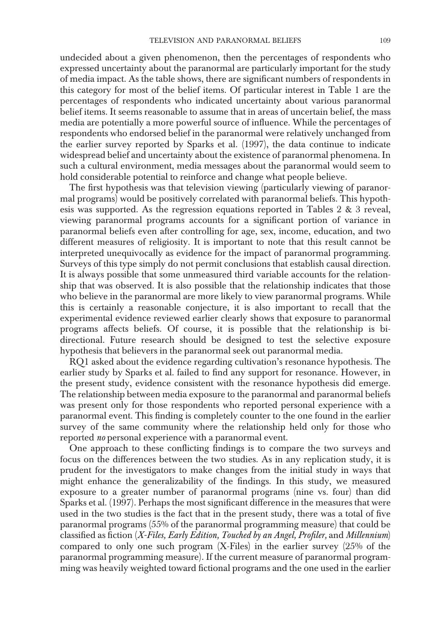undecided about a given phenomenon, then the percentages of respondents who expressed uncertainty about the paranormal are particularly important for the study of media impact. As the table shows, there are significant numbers of respondents in this category for most of the belief items. Of particular interest in Table 1 are the percentages of respondents who indicated uncertainty about various paranormal belief items. It seems reasonable to assume that in areas of uncertain belief, the mass media are potentially a more powerful source of influence. While the percentages of respondents who endorsed belief in the paranormal were relatively unchanged from the earlier survey reported by Sparks et al. (1997), the data continue to indicate widespread belief and uncertainty about the existence of paranormal phenomena. In such a cultural environment, media messages about the paranormal would seem to hold considerable potential to reinforce and change what people believe.

The first hypothesis was that television viewing (particularly viewing of paranormal programs) would be positively correlated with paranormal beliefs. This hypothesis was supported. As the regression equations reported in Tables 2 & 3 reveal, viewing paranormal programs accounts for a significant portion of variance in paranormal beliefs even after controlling for age, sex, income, education, and two different measures of religiosity. It is important to note that this result cannot be interpreted unequivocally as evidence for the impact of paranormal programming. Surveys of this type simply do not permit conclusions that establish causal direction. It is always possible that some unmeasured third variable accounts for the relationship that was observed. It is also possible that the relationship indicates that those who believe in the paranormal are more likely to view paranormal programs. While this is certainly a reasonable conjecture, it is also important to recall that the experimental evidence reviewed earlier clearly shows that exposure to paranormal programs affects beliefs. Of course, it is possible that the relationship is bidirectional. Future research should be designed to test the selective exposure hypothesis that believers in the paranormal seek out paranormal media.

RQ1 asked about the evidence regarding cultivation's resonance hypothesis. The earlier study by Sparks et al. failed to find any support for resonance. However, in the present study, evidence consistent with the resonance hypothesis did emerge. The relationship between media exposure to the paranormal and paranormal beliefs was present only for those respondents who reported personal experience with a paranormal event. This finding is completely counter to the one found in the earlier survey of the same community where the relationship held only for those who reported *no* personal experience with a paranormal event.

One approach to these conflicting findings is to compare the two surveys and focus on the differences between the two studies. As in any replication study, it is prudent for the investigators to make changes from the initial study in ways that might enhance the generalizability of the findings. In this study, we measured exposure to a greater number of paranormal programs (nine vs. four) than did Sparks et al. (1997). Perhaps the most significant difference in the measures that were used in the two studies is the fact that in the present study, there was a total of five paranormal programs (55% of the paranormal programming measure) that could be classified as fiction (*X-Files, Early Edition, Touched by an Angel, Profiler,* and *Millennium*) compared to only one such program (X-Files) in the earlier survey (25% of the paranormal programming measure). If the current measure of paranormal programming was heavily weighted toward fictional programs and the one used in the earlier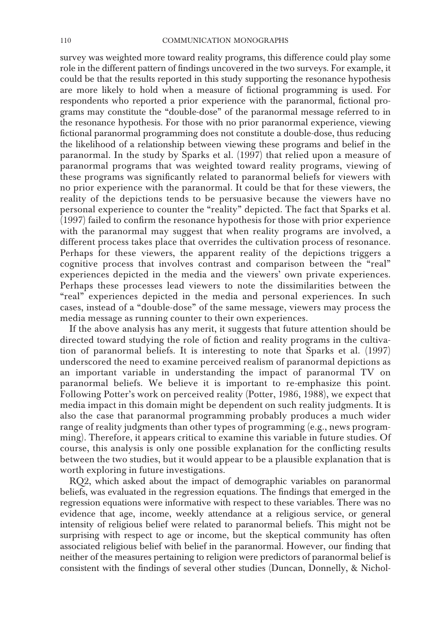survey was weighted more toward reality programs, this difference could play some role in the different pattern of findings uncovered in the two surveys. For example, it could be that the results reported in this study supporting the resonance hypothesis are more likely to hold when a measure of fictional programming is used. For respondents who reported a prior experience with the paranormal, fictional programs may constitute the "double-dose" of the paranormal message referred to in the resonance hypothesis. For those with no prior paranormal experience, viewing fictional paranormal programming does not constitute a double-dose, thus reducing the likelihood of a relationship between viewing these programs and belief in the paranormal. In the study by Sparks et al. (1997) that relied upon a measure of paranormal programs that was weighted toward reality programs, viewing of these programs was significantly related to paranormal beliefs for viewers with no prior experience with the paranormal. It could be that for these viewers, the reality of the depictions tends to be persuasive because the viewers have no personal experience to counter the "reality" depicted. The fact that Sparks et al. (1997) failed to confirm the resonance hypothesis for those with prior experience with the paranormal may suggest that when reality programs are involved, a different process takes place that overrides the cultivation process of resonance. Perhaps for these viewers, the apparent reality of the depictions triggers a cognitive process that involves contrast and comparison between the "real" experiences depicted in the media and the viewers' own private experiences. Perhaps these processes lead viewers to note the dissimilarities between the "real" experiences depicted in the media and personal experiences. In such cases, instead of a "double-dose" of the same message, viewers may process the media message as running counter to their own experiences.

If the above analysis has any merit, it suggests that future attention should be directed toward studying the role of fiction and reality programs in the cultivation of paranormal beliefs. It is interesting to note that Sparks et al. (1997) underscored the need to examine perceived realism of paranormal depictions as an important variable in understanding the impact of paranormal TV on paranormal beliefs. We believe it is important to re-emphasize this point. Following Potter's work on perceived reality (Potter, 1986, 1988), we expect that media impact in this domain might be dependent on such reality judgments. It is also the case that paranormal programming probably produces a much wider range of reality judgments than other types of programming (e.g., news programming). Therefore, it appears critical to examine this variable in future studies. Of course, this analysis is only one possible explanation for the conflicting results between the two studies, but it would appear to be a plausible explanation that is worth exploring in future investigations.

RQ2, which asked about the impact of demographic variables on paranormal beliefs, was evaluated in the regression equations. The findings that emerged in the regression equations were informative with respect to these variables. There was no evidence that age, income, weekly attendance at a religious service, or general intensity of religious belief were related to paranormal beliefs. This might not be surprising with respect to age or income, but the skeptical community has often associated religious belief with belief in the paranormal. However, our finding that neither of the measures pertaining to religion were predictors of paranormal belief is consistent with the findings of several other studies (Duncan, Donnelly, & Nichol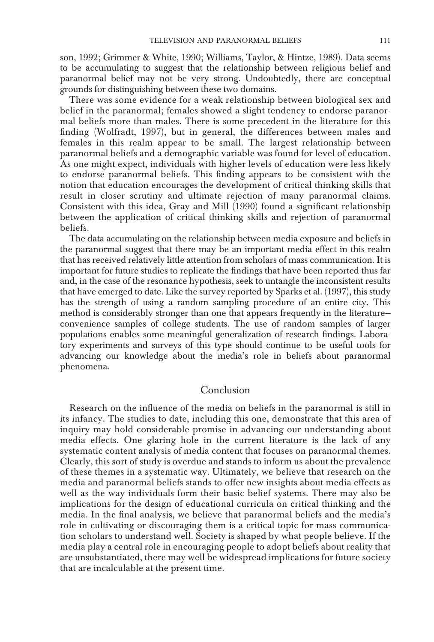son, 1992; Grimmer & White, 1990; Williams, Taylor, & Hintze, 1989). Data seems to be accumulating to suggest that the relationship between religious belief and paranormal belief may not be very strong. Undoubtedly, there are conceptual grounds for distinguishing between these two domains.

There was some evidence for a weak relationship between biological sex and belief in the paranormal; females showed a slight tendency to endorse paranormal beliefs more than males. There is some precedent in the literature for this finding (Wolfradt, 1997), but in general, the differences between males and females in this realm appear to be small. The largest relationship between paranormal beliefs and a demographic variable was found for level of education. As one might expect, individuals with higher levels of education were less likely to endorse paranormal beliefs. This finding appears to be consistent with the notion that education encourages the development of critical thinking skills that result in closer scrutiny and ultimate rejection of many paranormal claims. Consistent with this idea, Gray and Mill (1990) found a significant relationship between the application of critical thinking skills and rejection of paranormal beliefs.

The data accumulating on the relationship between media exposure and beliefs in the paranormal suggest that there may be an important media effect in this realm that has received relatively little attention from scholars of mass communication. It is important for future studies to replicate the findings that have been reported thus far and, in the case of the resonance hypothesis, seek to untangle the inconsistent results that have emerged to date. Like the survey reported by Sparks et al. (1997), this study has the strength of using a random sampling procedure of an entire city. This method is considerably stronger than one that appears frequently in the literature convenience samples of college students. The use of random samples of larger populations enables some meaningful generalization of research findings. Laboratory experiments and surveys of this type should continue to be useful tools for advancing our knowledge about the media's role in beliefs about paranormal phenomena.

#### Conclusion

Research on the influence of the media on beliefs in the paranormal is still in its infancy. The studies to date, including this one, demonstrate that this area of inquiry may hold considerable promise in advancing our understanding about media effects. One glaring hole in the current literature is the lack of any systematic content analysis of media content that focuses on paranormal themes. Clearly, this sort of study is overdue and stands to inform us about the prevalence of these themes in a systematic way. Ultimately, we believe that research on the media and paranormal beliefs stands to offer new insights about media effects as well as the way individuals form their basic belief systems. There may also be implications for the design of educational curricula on critical thinking and the media. In the final analysis, we believe that paranormal beliefs and the media's role in cultivating or discouraging them is a critical topic for mass communication scholars to understand well. Society is shaped by what people believe. If the media play a central role in encouraging people to adopt beliefs about reality that are unsubstantiated, there may well be widespread implications for future society that are incalculable at the present time.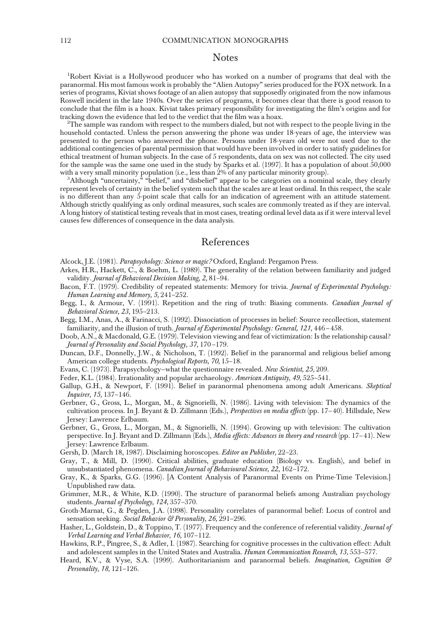#### Notes

<sup>1</sup>Robert Kiviat is a Hollywood producer who has worked on a number of programs that deal with the paranormal. His most famous work is probably the "Alien Autopsy" series produced for the FOX network. In a series of programs, Kiviat shows footage of an alien autopsy that supposedly originated from the now infamous Roswell incident in the late 1940s. Over the series of programs, it becomes clear that there is good reason to conclude that the film is a hoax. Kiviat takes primary responsibility for investigating the film's origins and for tracking down the evidence that led to the verdict that the film was a hoax. <sup>2</sup>

 $T$ The sample was random with respect to the numbers dialed, but not with respect to the people living in the household contacted. Unless the person answering the phone was under 18-years of age, the interview was presented to the person who answered the phone. Persons under 18-years old were not used due to the additional contingencies of parental permission that would have been involved in order to satisfy guidelines for ethical treatment of human subjects. In the case of 5 respondents, data on sex was not collected. The city used for the sample was the same one used in the study by Sparks et al. (1997). It has a population of about 50,000

with a very small minority population (i.e., less than 2% of any particular minority group).<br><sup>3</sup>Although "uncertainty," "belief," and "disbelief" appear to be categories on a nominal scale, they clearly represent levels of certainty in the belief system such that the scales are at least ordinal. In this respect, the scale is no different than any 5-point scale that calls for an indication of agreement with an attitude statement. Although strictly qualifying as only ordinal measures, such scales are commonly treated as if they are interval. A long history of statistical testing reveals that in most cases, treating ordinal level data as if it were interval level causes few differences of consequence in the data analysis.

# References

Alcock, J.E. (1981). *Parapsychology: Science or magic?* Oxford, England: Pergamon Press.

- Arkes, H.R., Hackett, C., & Boehm, L. (1989). The generality of the relation between familiarity and judged validity. *Journal of Behavioral Decision Making, 2,* 81–94.
- Bacon, F.T. (1979). Credibility of repeated statements: Memory for trivia. *Journal of Experimental Psychology: Human Learning and Memory, 5,* 241–252.
- Begg, I., & Armour, V. (1991). Repetition and the ring of truth: Biasing comments. *Canadian Journal of Behavioral Science, 23,* 195–213.
- Begg, I.M., Anas, A., & Farinacci, S. (1992). Dissociation of processes in belief: Source recollection, statement familiarity, and the illusion of truth. *Journal of Experimental Psychology: General, 121,* 446–458.
- Doob, A.N., & Macdonald, G.E. (1979). Television viewing and fear of victimization: Is the relationship causal? *Journal of Personality and Social Psychology, 37,* 170–179.
- Duncan, D.F., Donnelly, J.W., & Nicholson, T. (1992). Belief in the paranormal and religious belief among American college students. *Psychological Reports, 70,* 15–18.
- Evans, C. (1973). Parapsychology—what the questionnaire revealed. *New Scientist, 25,* 209.
- Feder, K.L. (1984). Irrationality and popular archaeology. *American Antiquity, 49,* 525–541.
- Gallup, G.H., & Newport, F. (1991). Belief in paranormal phenomena among adult Americans. *Skeptical Inquirer, 15,* 137–146.
- Gerbner, G., Gross, L., Morgan, M., & Signorielli, N. (1986). Living with television: The dynamics of the cultivation process. In J. Bryant & D. Zillmann (Eds.), *Perspectives on media effects* (pp. 17–40). Hillsdale, New Jersey: Lawrence Erlbaum.
- Gerbner, G., Gross, L., Morgan, M., & Signorielli, N. (1994). Growing up with television: The cultivation perspective. In J. Bryant and D. Zillmann (Eds.), *Media effects: Advances in theory and research* (pp. 17–41). New Jersey: Lawrence Erlbaum.

Gersh, D. (March 18, 1987). Disclaiming horoscopes. *Editor an Publisher,* 22–23.

- Gray, T., & Mill, D. (1990). Critical abilities, graduate education (Biology vs. English), and belief in unsubstantiated phenomena. *Canadian Journal of Behavioural Science, 22,* 162–172.
- Gray, K., & Sparks, G.G. (1996). [A Content Analysis of Paranormal Events on Prime-Time Television.] Unpublished raw data.
- Grimmer, M.R., & White, K.D. (1990). The structure of paranormal beliefs among Australian psychology students. *Journal of Psychology, 124,* 357–370.
- Groth-Marnat, G., & Pegden, J.A. (1998). Personality correlates of paranormal belief: Locus of control and sensation seeking. *Social Behavior & Personality, 26,* 291–296.
- Hasher, L., Goldstein, D., & Toppino, T. (1977). Frequency and the conference of referential validity. *Journal of Verbal Learning and Verbal Behavior, 16,* 107–112.
- Hawkins, R.P., Pingree, S., & Adler, I. (1987). Searching for cognitive processes in the cultivation effect: Adult and adolescent samples in the United States and Australia. *Human Communication Research, 13,* 553–577.
- Heard, K.V., & Vyse, S.A. (1999). Authoritarianism and paranormal beliefs. *Imagination, Cognition & Personality, 18,* 121–126.